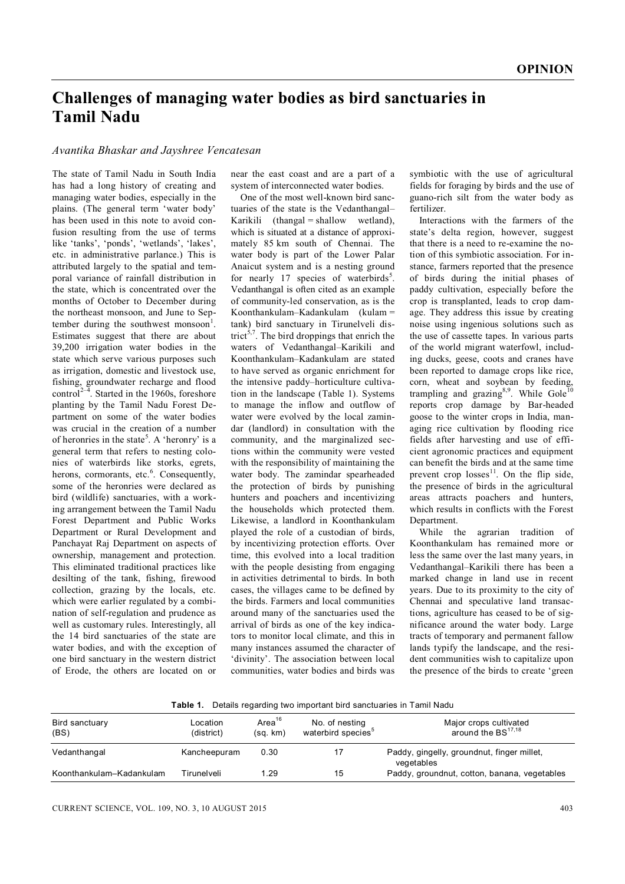## **Challenges of managing water bodies as bird sanctuaries in Tamil Nadu**

*Avantika Bhaskar and Jayshree Vencatesan*

The state of Tamil Nadu in South India has had a long history of creating and managing water bodies, especially in the plains. (The general term 'water body' has been used in this note to avoid confusion resulting from the use of terms like 'tanks', 'ponds', 'wetlands', 'lakes', etc. in administrative parlance.) This is attributed largely to the spatial and temporal variance of rainfall distribution in the state, which is concentrated over the months of October to December during the northeast monsoon, and June to September during the southwest monsoon<sup>1</sup>. Estimates suggest that there are about 39,200 irrigation water bodies in the state which serve various purposes such as irrigation, domestic and livestock use, fishing, groundwater recharge and flood control<sup>2–4</sup>. Started in the 1960s, foreshore planting by the Tamil Nadu Forest Department on some of the water bodies was crucial in the creation of a number of heronries in the state<sup>5</sup>. A 'heronry' is a general term that refers to nesting colonies of waterbirds like storks, egrets, herons, cormorants, etc.<sup>6</sup>. Consequently, some of the heronries were declared as bird (wildlife) sanctuaries, with a working arrangement between the Tamil Nadu Forest Department and Public Works Department or Rural Development and Panchayat Raj Department on aspects of ownership, management and protection. This eliminated traditional practices like desilting of the tank, fishing, firewood collection, grazing by the locals, etc. which were earlier regulated by a combination of self-regulation and prudence as well as customary rules. Interestingly, all the 14 bird sanctuaries of the state are water bodies, and with the exception of one bird sanctuary in the western district of Erode, the others are located on or

near the east coast and are a part of a system of interconnected water bodies.

One of the most well-known bird sanctuaries of the state is the Vedanthangal– Karikili (thangal = shallow wetland), which is situated at a distance of approximately 85 km south of Chennai. The water body is part of the Lower Palar Anaicut system and is a nesting ground for nearly 17 species of waterbirds<sup>5</sup>. Vedanthangal is often cited as an example of community-led conservation, as is the Koonthankulam–Kadankulam (kulam = tank) bird sanctuary in Tirunelveli district<sup>5,7</sup>. The bird droppings that enrich the waters of Vedanthangal–Karikili and Koonthankulam–Kadankulam are stated to have served as organic enrichment for the intensive paddy–horticulture cultivation in the landscape (Table 1). Systems to manage the inflow and outflow of water were evolved by the local zamindar (landlord) in consultation with the community, and the marginalized sections within the community were vested with the responsibility of maintaining the water body. The zamindar spearheaded the protection of birds by punishing hunters and poachers and incentivizing the households which protected them. Likewise, a landlord in Koonthankulam played the role of a custodian of birds, by incentivizing protection efforts. Over time, this evolved into a local tradition with the people desisting from engaging in activities detrimental to birds. In both cases, the villages came to be defined by the birds. Farmers and local communities around many of the sanctuaries used the arrival of birds as one of the key indicators to monitor local climate, and this in many instances assumed the character of 'divinity'. The association between local communities, water bodies and birds was

symbiotic with the use of agricultural fields for foraging by birds and the use of guano-rich silt from the water body as fertilizer.

Interactions with the farmers of the state's delta region, however, suggest that there is a need to re-examine the notion of this symbiotic association. For instance, farmers reported that the presence of birds during the initial phases of paddy cultivation, especially before the crop is transplanted, leads to crop damage. They address this issue by creating noise using ingenious solutions such as the use of cassette tapes. In various parts of the world migrant waterfowl, including ducks, geese, coots and cranes have been reported to damage crops like rice, corn, wheat and soybean by feeding, trampling and grazing<sup>8,9</sup>. While Gole<sup>10</sup> reports crop damage by Bar-headed goose to the winter crops in India, managing rice cultivation by flooding rice fields after harvesting and use of efficient agronomic practices and equipment can benefit the birds and at the same time prevent crop  $losses<sup>11</sup>$ . On the flip side, the presence of birds in the agricultural areas attracts poachers and hunters, which results in conflicts with the Forest Department.

While the agrarian tradition of Koonthankulam has remained more or less the same over the last many years, in Vedanthangal–Karikili there has been a marked change in land use in recent years. Due to its proximity to the city of Chennai and speculative land transactions, agriculture has ceased to be of significance around the water body. Large tracts of temporary and permanent fallow lands typify the landscape, and the resident communities wish to capitalize upon the presence of the birds to create 'green

**Table 1.** Details regarding two important bird sanctuaries in Tamil Nadu

| Bird sanctuary<br>(BS)   | Location<br>(district) | Area <sup>16</sup><br>(sq. km) | No. of nesting<br>waterbird species <sup>5</sup> | Major crops cultivated<br>around the BS <sup>17,18</sup> |
|--------------------------|------------------------|--------------------------------|--------------------------------------------------|----------------------------------------------------------|
| Vedanthangal             | Kancheepuram           | 0.30                           |                                                  | Paddy, gingelly, groundnut, finger millet,<br>vegetables |
| Koonthankulam-Kadankulam | Tirunelveli            | 1.29                           | 15                                               | Paddy, groundnut, cotton, banana, vegetables             |